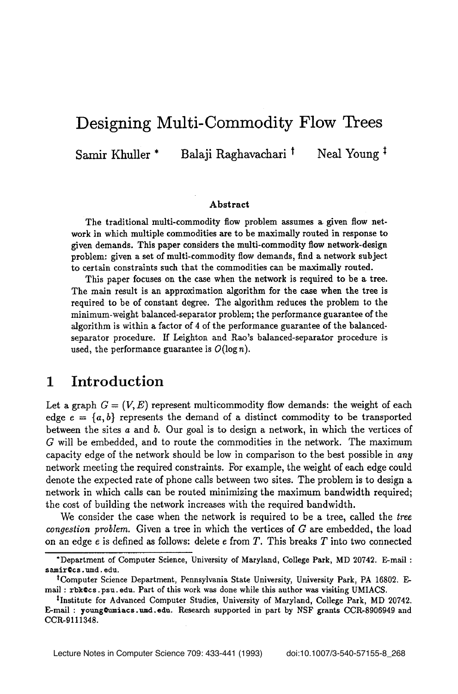# **Designing Multi-Commodity Flow Trees**

Samir Khuller \* Balaji Raghavachari <sup>†</sup> Neal Young <sup>‡</sup>

#### **Abstract**

The traditional multi-commodity flow problem assumes a given flow network in which multiple commodities are to be maximally routed in response to given demands. This paper considers the multi-commodity flow network-desigu problem: given a set of multi-commodity flow demands, find a network subject to certain constraints such that the commodities can be maximally routed.

This paper focuses on the case when the network is required to be a tree. The main result is an approximation algorithm for the case when the tree is required to be of constant degree. The algorithm reduces the problem to the minimum-weight balanced-separator problem; the performance guarantee of the algorithm is within a factor of 4 of the performance guarantee of the balanced separator procedure. If Leighton and Rao's balanced-separator procedure is used, the performance guarantee is  $O(\log n)$ .

### **1 Introduction**

Let a graph  $G = (V, E)$  represent multicommodity flow demands: the weight of each edge  $e = \{a, b\}$  represents the demand of a distinct commodity to be transported between the sites a and b. Our goal is to design a network, in which the vertices of G will be embedded, and to route the commodities in the network. The maximum capacity edge of the network should be low in comparison to the best possible in *any*  network meeting the required constraints. For example, the weight of each edge could denote the expected rate of phone calls between two sites. The problem is to design a network in which calls can be routed minimizing the maximum bandwidth required; the cost of building the network increases with the required bandwidth.

We consider the case when the network is required to be a tree, called the *tree congestion problem.* Given a tree in which the vertices of G are embedded, the load on an edge  $e$  is defined as follows: delete  $e$  from  $T$ . This breaks  $T$  into two connected

<sup>&</sup>quot;Department of Computer Science, University of Maryland, College Park, MD 20742. E-mail : samir@cs.umd.edu.

tComputer Science Department, Pennsylvania State University, University Park, PA 16802. Email : rbk Ocs. psu. edu. Part of this work was done while this author was visiting UMIACS.

<sup>&</sup>lt;sup>‡</sup>Institute for Advanced Computer Studies, University of Maryland, College Park, MD 20742. E-mail : young@umiacs.umd.edu. Research supported in part by NSF grants CCR-8906949 and CCK-9111348.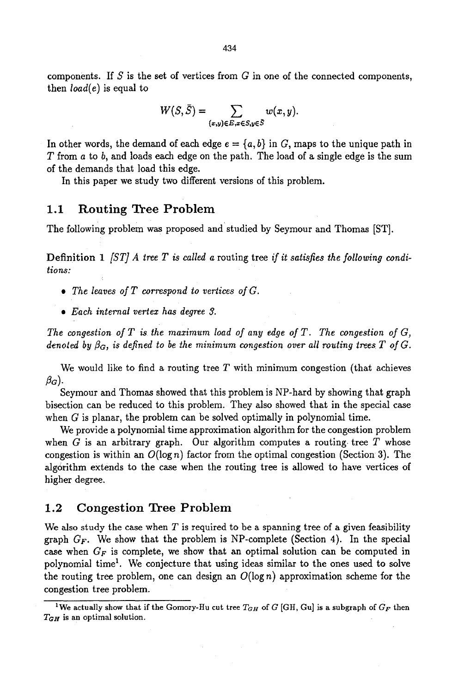components. If  $S$  is the set of vertices from  $G$  in one of the connected components, then *load(e)* is equal to

$$
W(S,\bar{S})=\sum_{(x,y)\in E, x\in S, y\in \bar{S}} w(x,y).
$$

In other words, the demand of each edge  $e = \{a, b\}$  in G, maps to the unique path in  $T$  from  $a$  to  $b$ , and loads each edge on the path. The load of a single edge is the sum of the demands that load this edge.

In this paper we study two different versions of this problem.

#### 1.1 Routing Tree Problem

The following problem was proposed and studied by Seymour and Thomas [ST].

Definition 1 *[ST] A tree T is called a* routing tree *if it satisfies the following conditions:* 

- *9 The leaves of T correspond to vertices of G.*
- *9 Each internal vertex has degree 3.*

*The congestion of T is the maximum load of any edge of T. The congestion of G, denoted by*  $\beta_G$ *, is defined to be the minimum congestion over all routing trees T of G.* 

We would like to find a routing tree  $T$  with minimum congestion (that achieves  $\beta_G$ ).

Seymour and Thomas showed that this problem is NP-hard by showing that graph bisection can be reduced to this problem. They also showed that in the special case when G is planar, the problem can be solved optimally in polynomial time.

We provide a polynomial time approximation algorithm for the congestion problem when G is an arbitrary graph. Our algorithm computes a routing tree  $T$  whose congestion is within an  $O(\log n)$  factor from the optimal congestion (Section 3). The alg6rithm extends to the case when the routing tree is allowed to have vertices of higher degree.

#### 1.2 Congestion Tree Problem

We also study the case when  $T$  is required to be a spanning tree of a given feasibility graph  $G_F$ . We show that the problem is NP-complete (Section 4). In the special case when  $G_F$  is complete, we show that an optimal solution can be computed in polynomial time<sup>1</sup>. We conjecture that using ideas similar to the ones used to solve the routing tree problem, one can design an  $O(\log n)$  approximation scheme for the congestion tree problem.

<sup>&</sup>lt;sup>1</sup>We actually show that if the Gomory-Hu cut tree  $T_{GH}$  of G [GH, Gu] is a subgraph of  $G_F$  then  $T_{GH}$  is an optimal solution.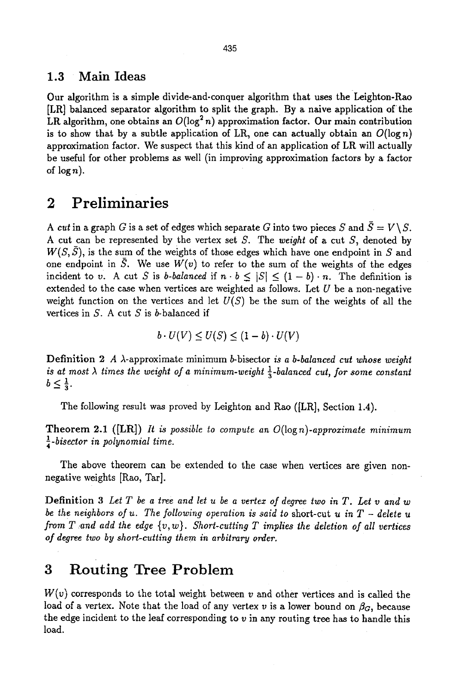### **1.3 Main Ideas**

Our algorithm is a simple divide-and-conquer algorithm that uses the Leighton-Rao [LR] balanced separator algorithm to split the graph. By a naive application of the LR algorithm, one obtains an  $O(\log^2 n)$  approximation factor. Our main contribution is to show that by a subtle application of LR, one can actually obtain an  $O(\log n)$ approximation factor. We suspect that this kind of an application of LR will actually be useful for other problems as well (in improving approximation factors by a factor of  $\log n$ ).

# **2 Preliminaries**

*A cut* in a graph *G* is a set of edges which separate *G* into two pieces *S* and  $\bar{S} = V\setminus S$ . A cut can be represented by the vertex set S. The *weight* of a cut S, denoted by  $W(S, \overline{S})$ , is the sum of the weights of those edges which have one endpoint in S and one endpoint in  $\bar{S}$ . We use  $W(v)$  to refer to the sum of the weights of the edges incident to v. A cut S is *b*-balanced if  $n \cdot b \leq |S| \leq (1 - b) \cdot n$ . The definition is extended to the case when vertices are weighted as follows. Let  $U$  be a non-negative weight function on the vertices and let  $U(S)$  be the sum of the weights of all the vertices in  $S$ . A cut  $S$  is  $b$ -balanced if

$$
b \cdot U(V) \leq U(S) \leq (1 - b) \cdot U(V)
$$

Definition 2 A  $\lambda$ -approximate minimum *b*-bisector *is a b-balanced cut whose weight is at most*  $\lambda$  *times the weight of a minimum-weight*  $\frac{1}{2}$ -balanced cut, for some constant  $b\leq \frac{1}{3}$ .

The following result was proved by Leighton and Rao ([LR], Section 1.4).

Theorem 2.1 ([LR]) *It is possible to compute an O(logn)-approzimate minimum l-bisector in polynomial time.* 

The above theorem can be extended to the case when vertices are given nonnegative weights [Rao, Tar].

Definition 3 *Let T be a tree and let u be a vertex of degree two in T. Let v and w be the neighbors of u. The following operation is said to* short-cut *u in T - delete u from T and add the edge*  $\{v, w\}$ . *Short-cutting T implies the deletion of all vertices of degree two by short-cutting them in arbitrary order.* 

## **3 Routing Tree Problem**

 $W(v)$  corresponds to the total weight between v and other vertices and is called the load of a vertex. Note that the load of any vertex v is a lower bound on  $\beta_G$ , because the edge incident to the leaf corresponding to  $v$  in any routing tree has to handle this load.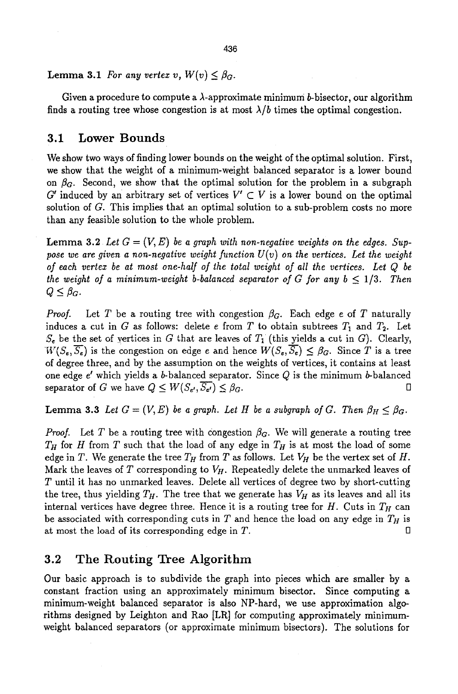Lemma 3.1 *For any vertex v,*  $W(v) \leq \beta_G$ .

Given a procedure to compute a  $\lambda$ -approximate minimum b-bisector, our algorithm finds a routing tree whose congestion is at most  $\lambda/b$  times the optimal congestion.

### 3.1 Lower Bounds

We show two ways of finding lower bounds on the weight of the optimal solution. First, we show that the weight of a minimum-weight balanced separator is a lower bound on  $\beta_G$ . Second, we show that the optimal solution for the problem in a subgraph G' induced by an arbitrary set of vertices  $V' \subset V$  is a lower bound on the optimal solution of G. This implies that an optimal solution to a sub-problem costs no more than any feasible solution to the whole problem.

**Lemma 3.2** Let  $G = (V, E)$  be a graph with non-negative weights on the edges. Suppose we are given a non-negative weight function  $U(v)$  on the vertices. Let the weight *of each vertez be at most one-half of the total weight of all the vertices. Let Q be the weight of a minimum-weight b-balanced separator of G for any*  $b \leq 1/3$ *. Then*  $Q \leq \beta_G$ .

*Proof.* Let T be a routing tree with congestion  $\beta_G$ . Each edge e of T naturally induces a cut in G as follows: delete e from T to obtain subtrees  $T_1$  and  $T_2$ . Let  $S_e$  be the set of yertices in G that are leaves of  $T_1$  (this yields a cut in G). Clearly,  $W(S_e, \overline{S_e})$  is the congestion on edge e and hence  $W(S_e, \overline{S_e}) \leq \beta_G$ . Since T is a tree of degree three, and by the assumption on the weights of vertices, it contains at least one edge  $e'$  which yields a b-balanced separator. Since  $Q$  is the minimum b-balanced separator of G we have  $Q \leq W(S_{e'}, \overline{S_{e'}}) \leq \beta_G$ .

Lemma 3.3 Let  $G = (V, E)$  be a graph. Let H be a subgraph of G. Then  $\beta_H \leq \beta_G$ .

*Proof.* Let T be a routing tree with congestion  $\beta_G$ . We will generate a routing tree  $T_H$  for H from T such that the load of any edge in  $T_H$  is at most the load of some edge in T. We generate the tree  $T_H$  from T as follows. Let  $V_H$  be the vertex set of H. Mark the leaves of  $T$  corresponding to  $V_H$ . Repeatedly delete the unmarked leaves of T until it has no unmarked leaves. Delete all vertices of degree two by short-cutting the tree, thus yielding  $T_H$ . The tree that we generate has  $V_H$  as its leaves and all its internal vertices have degree three. Hence it is a routing tree for  $H$ . Cuts in  $T_H$  can be associated with corresponding cuts in  $T$  and hence the load on any edge in  $T_H$  is at most the load of its corresponding edge in  $T$ .

### 3.2 The Routing Tree Algorithm

Our basic approach is to subdivide the graph into pieces which are smaller by a constant fraction using an approximately minimum bisector. Since computing a minimum-weight balanced separator is also NP-hard, we use approximation algorithms designed by Leighton and Rao [LR] for computing approximately minimumweight balanced separators (or approximate minimum bisectors). The solutions for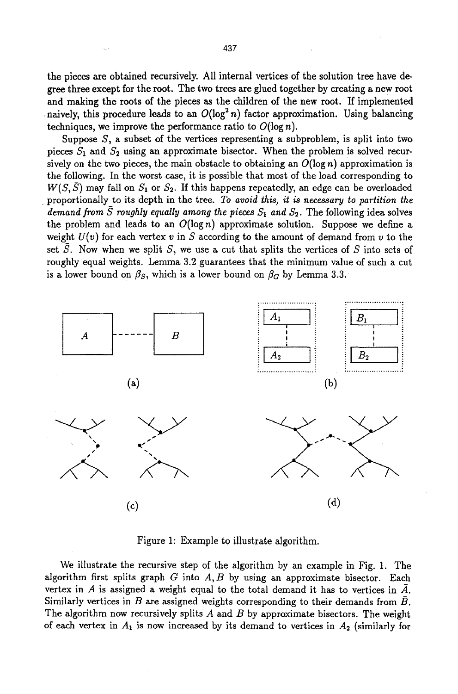the pieces are obtained recursively. All internal vertices of the solution tree have degree three except for the root. The two trees are glued together by creating a new root and making the roots of the pieces as the children of the new root. If implemented naively, this procedure leads to an  $O(\log^2 n)$  factor approximation. Using balancing techniques, we improve the performance ratio to  $O(\log n)$ .

Suppose S, a subset of the vertices representing a subproblem, is split into two pieces  $S_1$  and  $S_2$  using an approximate bisector. When the problem is solved recursively on the two pieces, the main obstacle to obtaining an  $O(\log n)$  approximation is the following. In the worst case, it is possible that most of the load corresponding to  $W(S, \bar{S})$  may fall on  $S_1$  or  $S_2$ . If this happens repeatedly, an edge can be overloaded proportionally to its depth in the tree. *To avoid this, it is necessary to partition the demand from*  $\overline{S}$  *roughly equally among the pieces*  $S_1$  and  $S_2$ . The following idea solves the problem and leads to an  $O(\log n)$  approximate solution. Suppose we define a weight  $U(v)$  for each vertex v in S according to the amount of demand from v to the set  $S$ . Now when we split  $S$ , we use a cut that splits the vertices of  $S$  into sets of roughly equal weights. Lemma 3.2 guarantees that the minimum value of such a cut is a lower bound on  $\beta_s$ , which is a lower bound on  $\beta_d$  by Lemma 3.3.



Figure 1: Example to illustrate algorithm.

We illustrate the recursive step of the algorithm by an example in Fig. 1. The algorithm first splits graph  $G$  into  $A, B$  by using an approximate bisector. Each vertex in A is assigned a weight equal to the total demand it has to vertices in  $\overline{A}$ . Similarly vertices in B are assigned weights corresponding to their demands from  $\bar{B}$ . The algorithm now recursively splits  $A$  and  $B$  by approximate bisectors. The weight of each vertex in  $A_1$  is now increased by its demand to vertices in  $A_2$  (similarly for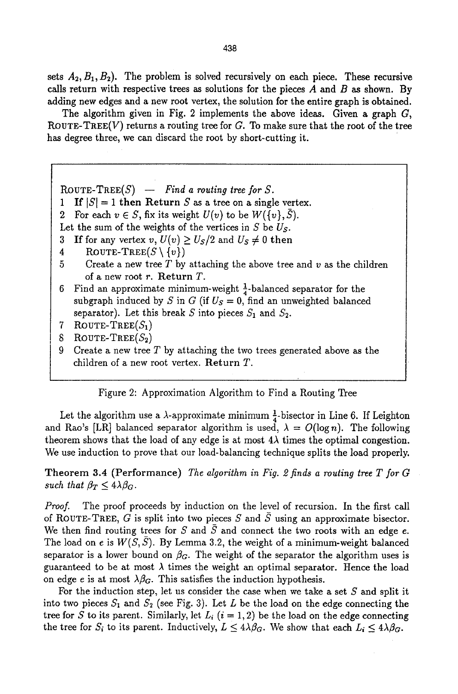sets  $A_2, B_1, B_2$ ). The problem is solved recursively on each piece. These recursive calls return with respective trees as solutions for the pieces  $A$  and  $B$  as shown. By adding new edges and a new root vertex, the solution for the entire graph is obtained.

The algorithm given in Fig. 2 implements the above ideas. Given a graph  $G$ , ROUTE-TREE(V) returns a routing tree for  $G$ . To make sure that the root of the tree has degree three, we can discard the root by short-cutting it.

ROUTE-TREE $(S)$  -- *Find a routing tree for S.* 

1 If  $|S| = 1$  then Return S as a tree on a single vertex.

2 For each  $v \in S$ , fix its weight  $U(v)$  to be  $W({v}, \overline{S})$ .

Let the sum of the weights of the vertices in S be *Us.* 

3 If for any vertex  $v, U(v) \ge U_s/2$  and  $U_s \ne 0$  then

- 4 ROUTE-TREE $(S \setminus \{v\})$
- 5 Create a new tree T by attaching the above tree and  $v$  as the children of a new root r. Return T.
- 6 Find an approximate minimum-weight  $\frac{1}{4}$ -balanced separator for the subgraph induced by S in G (if  $U_s = 0$ , find an unweighted balanced separator). Let this break S into pieces  $S_1$  and  $S_2$ .
- 7 ROUTE-TREE $(S_1)$
- 8 ROUTE-TREE $(S_2)$
- 9 Create a new tree  $T$  by attaching the two trees generated above as the children of a new root vertex. Return T.

Figure 2: Approximation Algorithm to Find a Routing Tree

Let the algorithm use a  $\lambda$ -approximate minimum  $\frac{1}{4}$ -bisector in Line 6. If Leighton and Rao's [LR] balanced separator algorithm is used,  $\lambda = O(\log n)$ . The following theorem shows that the load of any edge is at most  $4\lambda$  times the optimal congestion. We use induction to prove that our load-balancing technique splits the load properly.

Theorem 3.4 (Performance) *The algorithm in Fig. 2 finds a routing tree T for G such that*  $\beta_T \leq 4\lambda \beta_G$ .

*Proof.* The proof proceeds by induction on the level of recursion. In the first call of ROUTE-TREE, G is split into two pieces S and  $\overline{S}$  using an approximate bisector. We then find routing trees for S and S and connect the two roots with an edge  $e$ . The load on e is  $W(S, S)$ . By Lemma 3.2, the weight of a minimum-weight balanced separator is a lower bound on  $\beta_G$ . The weight of the separator the algorithm uses is guaranteed to be at most  $\lambda$  times the weight an optimal separator. Hence the load on edge e is at most  $\lambda \beta_G$ . This satisfies the induction hypothesis.

For the induction step, let us consider the case when we take a set  $S$  and split it into two pieces  $S_1$  and  $S_2$  (see Fig. 3). Let L be the load on the edge connecting the tree for S to its parent. Similarly, let  $L_i$  ( $i = 1, 2$ ) be the load on the edge connecting the tree for  $S_i$  to its parent. Inductively,  $L \leq 4\lambda\beta_G$ . We show that each  $L_i \leq 4\lambda\beta_G$ .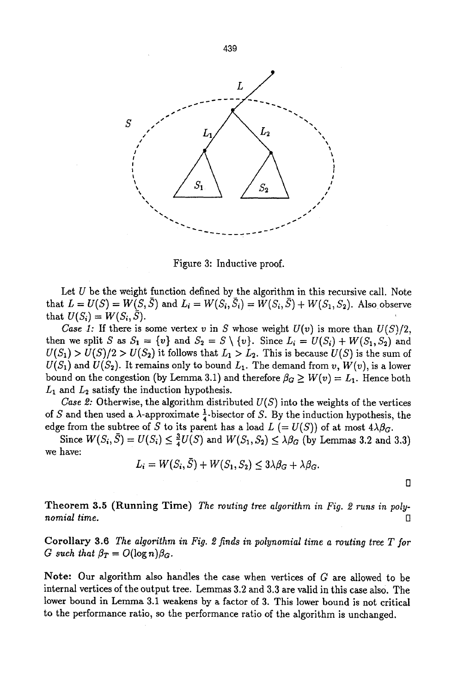

Figure 3: Inductive proof.

Let  $U$  be the weight function defined by the algorithm in this recursive call. Note that  $L = U(S) = W(S, \bar{S})$  and  $L_i = W(S_i, \bar{S}_i) = W(S_i, \bar{S}) + W(S_1, S_2)$ . Also observe that  $U(S_i) = W(S_i, \bar{S}).$ 

*Case 1:* If there is some vertex v in S whose weight  $U(v)$  is more than  $U(S)/2$ . then we split S as  $S_1 = \{v\}$  and  $S_2 = S \setminus \{v\}$ . Since  $L_i = U(S_i) + W(S_1, S_2)$  and  $U(S_1) > U(S)/2 > U(S_2)$  it follows that  $L_1 > L_2$ . This is because  $U(S)$  is the sum of  $U(S_1)$  and  $U(S_2)$ . It remains only to bound  $L_1$ . The demand from *v*,  $W(v)$ , is a lower bound on the congestion (by Lemma 3.1) and therefore  $\beta_G \geq W(v) = L_1$ . Hence both  $L_1$  and  $L_2$  satisfy the induction hypothesis.

*Case 2:* Otherwise, the algorithm distributed  $U(S)$  into the weights of the vertices of S and then used a  $\lambda$ -approximate  $\frac{1}{4}$ -bisector of S. By the induction hypothesis, the edge from the subtree of S to its parent has a load  $L (= U(S))$  of at most  $4\lambda\beta_G$ .

Since  $W(S_i, \overline{S}) = U(S_i) \leq \frac{3}{4}U(S)$  and  $W(S_1, S_2) \leq \lambda \beta_G$  (by Lemmas 3.2 and 3.3) we have:

$$
L_i = W(S_i, S) + W(S_1, S_2) \le 3\lambda\beta_G + \lambda\beta_G.
$$

*D* 

Theorem 3.5 (Running Time) *The routing tree algorithm in Fig. 2 runs in poly-* $$ 

Corollary 3.6 *The algorithm in Fig. 2 finds in polynomial time a routing tree T for G* such that  $\beta_T = O(\log n) \beta_G$ .

Note: Our algorithm also handles the case when vertices of G are allowed to be internal vertices of the output tree. Lemmas 3.2 and 3.3 are valid in this case als0. The lower bound in Lemma 3.1 weakens by a factor of 3. This lower bound is not critical to the performance ratio, so the performance ratio of the algorithm is unchanged.

439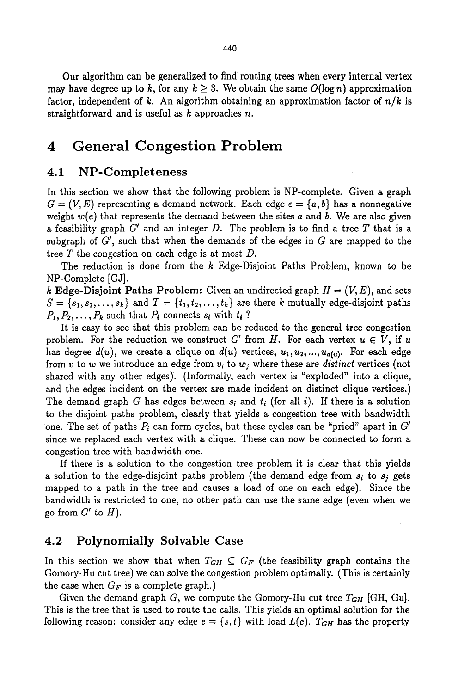Our algorithm can be generalized to find routing trees when every internal vertex may have degree up to k, for any  $k \geq 3$ . We obtain the same  $O(\log n)$  approximation factor, independent of k. An algorithm obtaining an approximation factor of  $n/k$  is straightforward and is useful as  $k$  approaches n.

### **4 General Congestion Problem**

#### 4.1 NP-Completeness

In this section we show that the following problem is NP-complete. Given a graph  $G = (V, E)$  representing a demand network. Each edge  $e = \{a, b\}$  has a nonnegative weight  $w(e)$  that represents the demand between the sites a and b. We are also given a feasibility graph  $G'$  and an integer D. The problem is to find a tree T that is a subgraph of  $G'$ , such that when the demands of the edges in  $G$  are mapped to the tree  $T$  the congestion on each edge is at most  $D$ .

The reduction is done from the k Edge-Disjoint Paths Problem, known to be NP-Complete [GJ].

k Edge-Disjoint Paths Problem: Given an undirected graph  $H = (V, E)$ , and sets  $S = \{s_1, s_2, \ldots, s_k\}$  and  $T = \{t_1, t_2, \ldots, t_k\}$  are there k mutually edge-disjoint paths  $P_1, P_2, \ldots, P_k$  such that  $P_i$  connects  $s_i$  with  $t_i$  ?

It is easy to see that this problem can be reduced to the general tree congestion problem. For the reduction we construct G' from H. For each vertex  $u \in V$ , if u has degree  $d(u)$ , we create a clique on  $d(u)$  vertices,  $u_1, u_2, \ldots, u_{d(u)}$ . For each edge from v to w we introduce an edge from  $v_i$  to  $w_j$  where these are *distinct* vertices (not shared with any other edges). (Informally, each vertex is "exploded" into a clique, and the edges incident on the vertex are made incident on distinct clique vertices.) The demand graph G has edges between  $s_i$  and  $t_i$  (for all i). If there is a solution to the disjoint paths problem, clearly that yields a congestion tree with bandwidth one. The set of paths  $P_i$  can form cycles, but these cycles can be "pried" apart in  $G'$ since we replaced each vertex with a clique. These can now be connected to form a congestion tree with bandwidth one.

If there is a solution to the congestion tree problem it is clear that this yields a solution to the edge-disjoint paths problem (the demand edge from  $s_i$  to  $s_j$  gets mapped to a path in the tree and causes a load of one on each edge). Since the bandwidth is restricted to one, no other path can use the same edge (even when we go from  $G'$  to  $H$ ).

#### 4.2 Polynomially Solvable Case

In this section we show that when  $T_{GH} \subseteq G_F$  (the feasibility graph contains the Gomory-Hu cut tree) we can solve the congestion problem optimally. (This is certainly the case when  $G_F$  is a complete graph.)

Given the demand graph G, we compute the Gomory-Hu cut tree  $T_{GH}$  [GH, Gu]. This is the tree that is used to route the calls. This yields an optimal solution for the following reason: consider any edge  $e = \{s, t\}$  with load  $L(e)$ .  $T_{GH}$  has the property